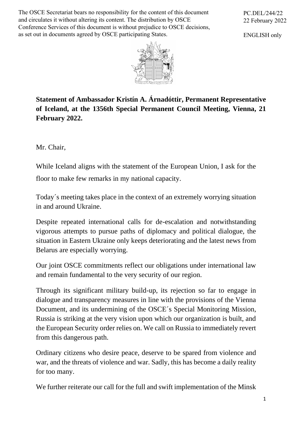The OSCE Secretariat bears no responsibility for the content of this document and circulates it without altering its content. The distribution by OSCE Conference Services of this document is without prejudice to OSCE decisions, as set out in documents agreed by OSCE participating States.

PC.DEL/244/22 22 February 2022

ENGLISH only



**Statement of Ambassador Kristín A. Árnadóttir, Permanent Representative of Iceland, at the 1356th Special Permanent Council Meeting, Vienna, 21 February 2022.** 

Mr. Chair,

While Iceland aligns with the statement of the European Union, I ask for the floor to make few remarks in my national capacity.

Today´s meeting takes place in the context of an extremely worrying situation in and around Ukraine.

Despite repeated international calls for de-escalation and notwithstanding vigorous attempts to pursue paths of diplomacy and political dialogue, the situation in Eastern Ukraine only keeps deteriorating and the latest news from Belarus are especially worrying.

Our joint OSCE commitments reflect our obligations under international law and remain fundamental to the very security of our region.

Through its significant military build-up, its rejection so far to engage in dialogue and transparency measures in line with the provisions of the Vienna Document, and its undermining of the OSCE´s Special Monitoring Mission, Russia is striking at the very vision upon which our organization is built, and the European Security order relies on. We call on Russia to immediately revert from this dangerous path.

Ordinary citizens who desire peace, deserve to be spared from violence and war, and the threats of violence and war. Sadly, this has become a daily reality for too many.

We further reiterate our call for the full and swift implementation of the Minsk